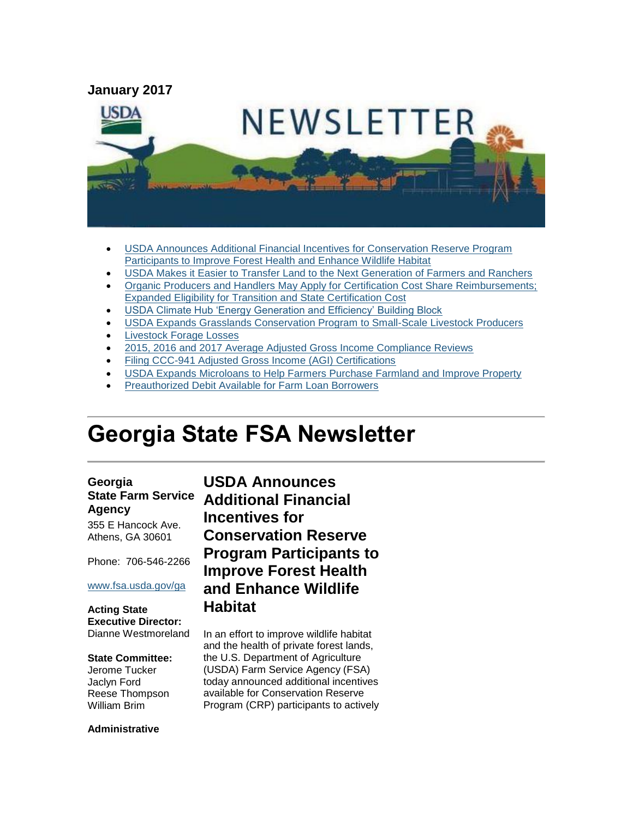

- [USDA Announces Additional Financial Incentives for Conservation Reserve Program](#page-0-0)  [Participants to Improve Forest Health and Enhance Wildlife Habitat](#page-0-0)
- [USDA Makes it Easier to Transfer Land to the Next Generation of Farmers and Ranchers](#page-1-0)
- [Organic Producers and Handlers May Apply for Certification Cost Share Reimbursements;](#page-2-0)  [Expanded Eligibility for Transition and State Certification Cost](#page-2-0)
- [USDA Climate Hub 'Energy Generation and Efficiency' Building Block](#page-3-0)
- [USDA Expands Grasslands Conservation Program to Small-Scale Livestock Producers](#page-3-1)
- [Livestock Forage Losses](#page-4-0)
- [2015, 2016 and 2017 Average Adjusted Gross Income Compliance Reviews](#page-4-1)
- [Filing CCC-941 Adjusted Gross Income \(AGI\) Certifications](#page-5-0)
- [USDA Expands Microloans to Help Farmers Purchase Farmland and Improve Property](#page-6-0)
- [Preauthorized Debit Available for Farm Loan Borrowers](#page-7-0)

# **Georgia State FSA Newsletter**

#### **Georgia State Farm Service Agency**

355 E Hancock Ave. Athens, GA 30601

Phone: 706-546-2266

#### [www.fsa.usda.gov/ga](http://www.fsa.usda.gov/ga)

**Acting State Executive Director:** Dianne Westmoreland

#### **State Committee:**

Jerome Tucker Jaclyn Ford Reese Thompson William Brim

**Administrative** 

<span id="page-0-0"></span>**USDA Announces Additional Financial Incentives for Conservation Reserve Program Participants to Improve Forest Health and Enhance Wildlife Habitat** 

In an effort to improve wildlife habitat and the health of private forest lands, the U.S. Department of Agriculture (USDA) Farm Service Agency (FSA) today announced additional incentives available for Conservation Reserve Program (CRP) participants to actively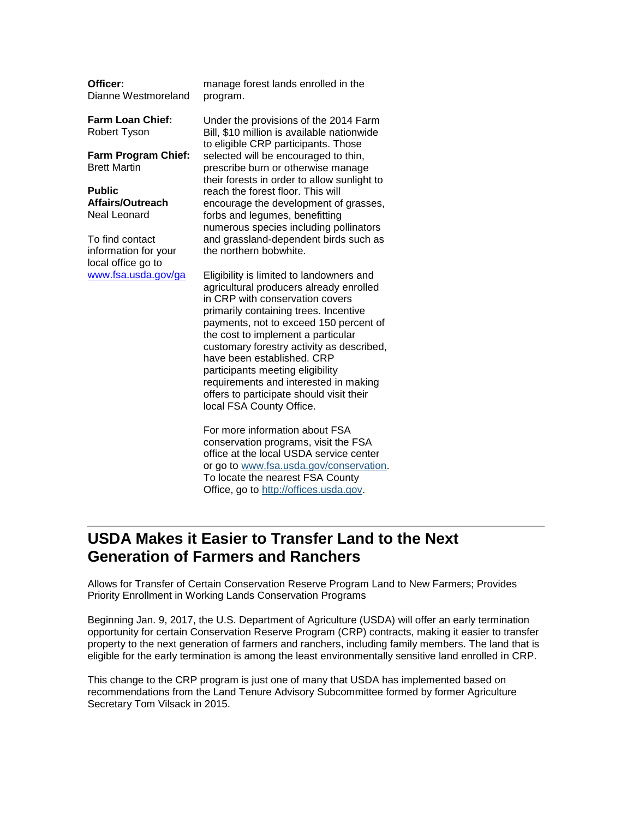| <b>OTTICET:</b>     | m  |
|---------------------|----|
| Dianne Westmoreland | pr |

anage forest lands enrolled in the ogram.

**Farm Loan Chief:** Robert Tyson

**Officer:**

**Farm Program Chief:** Brett Martin

**Public Affairs/Outreach** Neal Leonard

To find contact information for your local office go to [www.fsa.usda.gov/ga](http://www.fsa.usda.gov/ga)

Under the provisions of the 2014 Farm Bill, \$10 million is available nationwide to eligible CRP participants. Those selected will be encouraged to thin, prescribe burn or otherwise manage their forests in order to allow sunlight to reach the forest floor. This will encourage the development of grasses, forbs and legumes, benefitting numerous species including pollinators and grassland-dependent birds such as the northern bobwhite.

Eligibility is limited to landowners and agricultural producers already enrolled in CRP with conservation covers primarily containing trees. Incentive payments, not to exceed 150 percent of the cost to implement a particular customary forestry activity as described, have been established. CRP participants meeting eligibility requirements and interested in making offers to participate should visit their local FSA County Office.

For more information about FSA conservation programs, visit the FSA office at the local USDA service center or go to [www.fsa.usda.gov/conservation.](http://www.fsa.usda.gov/conservation) To locate the nearest FSA County Office, go to [http://offices.usda.gov.](http://offices.usda.gov/)

# <span id="page-1-0"></span>**USDA Makes it Easier to Transfer Land to the Next Generation of Farmers and Ranchers**

Allows for Transfer of Certain Conservation Reserve Program Land to New Farmers; Provides Priority Enrollment in Working Lands Conservation Programs

Beginning Jan. 9, 2017, the U.S. Department of Agriculture (USDA) will offer an early termination opportunity for certain Conservation Reserve Program (CRP) contracts, making it easier to transfer property to the next generation of farmers and ranchers, including family members. The land that is eligible for the early termination is among the least environmentally sensitive land enrolled in CRP.

This change to the CRP program is just one of many that USDA has implemented based on recommendations from the Land Tenure Advisory Subcommittee formed by former Agriculture Secretary Tom Vilsack in 2015.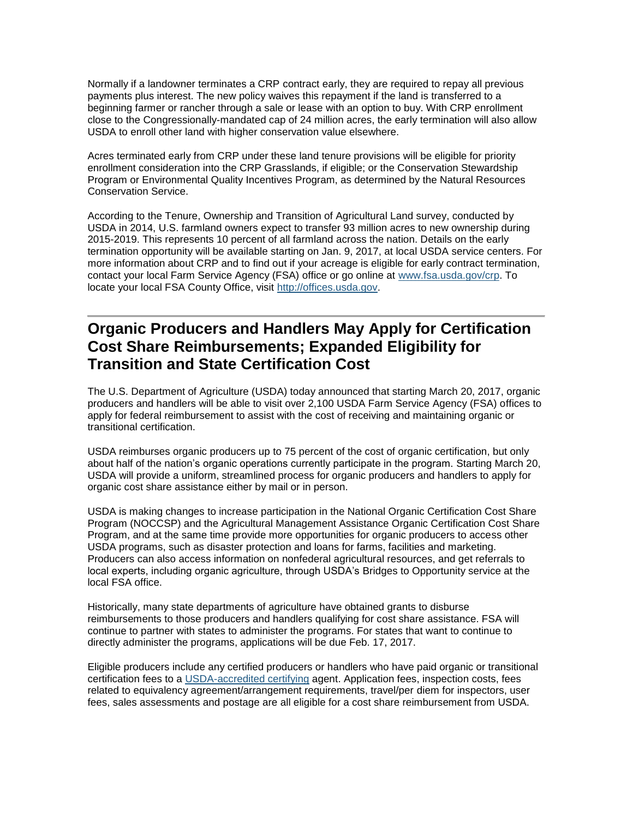Normally if a landowner terminates a CRP contract early, they are required to repay all previous payments plus interest. The new policy waives this repayment if the land is transferred to a beginning farmer or rancher through a sale or lease with an option to buy. With CRP enrollment close to the Congressionally-mandated cap of 24 million acres, the early termination will also allow USDA to enroll other land with higher conservation value elsewhere.

Acres terminated early from CRP under these land tenure provisions will be eligible for priority enrollment consideration into the CRP Grasslands, if eligible; or the Conservation Stewardship Program or Environmental Quality Incentives Program, as determined by the Natural Resources Conservation Service.

According to the Tenure, Ownership and Transition of Agricultural Land survey, conducted by USDA in 2014, U.S. farmland owners expect to transfer 93 million acres to new ownership during 2015-2019. This represents 10 percent of all farmland across the nation. Details on the early termination opportunity will be available starting on Jan. 9, 2017, at local USDA service centers. For more information about CRP and to find out if your acreage is eligible for early contract termination, contact your local Farm Service Agency (FSA) office or go online at [www.fsa.usda.gov/crp.](http://www.fsa.usda.gov/crp) To locate your local FSA County Office, visit [http://offices.usda.gov.](http://offices.usda.gov/)

# <span id="page-2-0"></span>**Organic Producers and Handlers May Apply for Certification Cost Share Reimbursements; Expanded Eligibility for Transition and State Certification Cost**

The U.S. Department of Agriculture (USDA) today announced that starting March 20, 2017, organic producers and handlers will be able to visit over 2,100 USDA Farm Service Agency (FSA) offices to apply for federal reimbursement to assist with the cost of receiving and maintaining organic or transitional certification.

USDA reimburses organic producers up to 75 percent of the cost of organic certification, but only about half of the nation's organic operations currently participate in the program. Starting March 20, USDA will provide a uniform, streamlined process for organic producers and handlers to apply for organic cost share assistance either by mail or in person.

USDA is making changes to increase participation in the National Organic Certification Cost Share Program (NOCCSP) and the Agricultural Management Assistance Organic Certification Cost Share Program, and at the same time provide more opportunities for organic producers to access other USDA programs, such as disaster protection and loans for farms, facilities and marketing. Producers can also access information on nonfederal agricultural resources, and get referrals to local experts, including organic agriculture, through USDA's Bridges to Opportunity service at the local FSA office.

Historically, many state departments of agriculture have obtained grants to disburse reimbursements to those producers and handlers qualifying for cost share assistance. FSA will continue to partner with states to administer the programs. For states that want to continue to directly administer the programs, applications will be due Feb. 17, 2017.

Eligible producers include any certified producers or handlers who have paid organic or transitional certification fees to a [USDA-accredited certifying](https://www.ams.usda.gov/services/organic-certification/certifying-agents) agent. Application fees, inspection costs, fees related to equivalency agreement/arrangement requirements, travel/per diem for inspectors, user fees, sales assessments and postage are all eligible for a cost share reimbursement from USDA.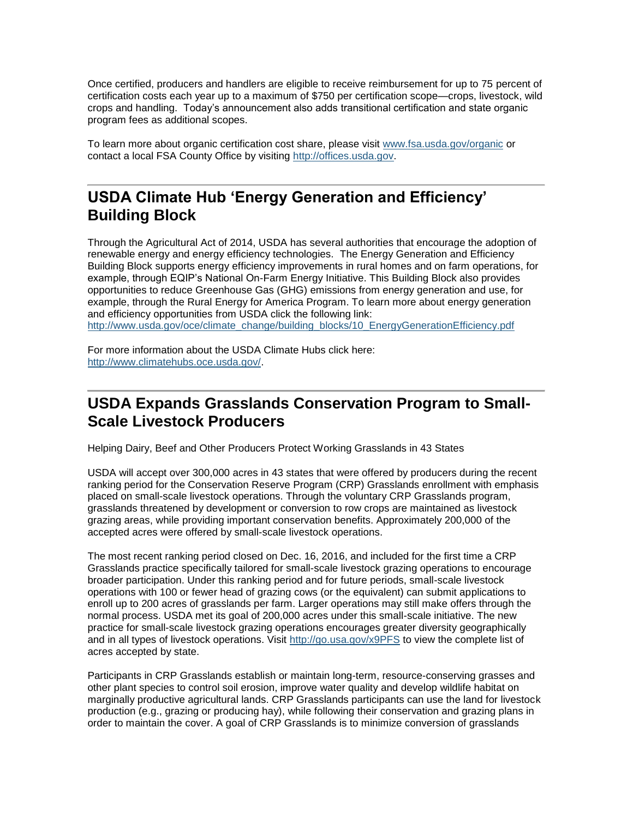Once certified, producers and handlers are eligible to receive reimbursement for up to 75 percent of certification costs each year up to a maximum of \$750 per certification scope—crops, livestock, wild crops and handling. Today's announcement also adds transitional certification and state organic program fees as additional scopes.

To learn more about organic certification cost share, please visit [www.fsa.usda.gov/organic](https://www.fsa.usda.gov/programs-and-services/outreach-and-education/help-for-organic-farming/index) or contact a local FSA County Office by visiting [http://offices.usda.gov.](https://offices.sc.egov.usda.gov/locator/app)

# <span id="page-3-0"></span>**USDA Climate Hub 'Energy Generation and Efficiency' Building Block**

Through the Agricultural Act of 2014, USDA has several authorities that encourage the adoption of renewable energy and energy efficiency technologies. The Energy Generation and Efficiency Building Block supports energy efficiency improvements in rural homes and on farm operations, for example, through EQIP's National On-Farm Energy Initiative. This Building Block also provides opportunities to reduce Greenhouse Gas (GHG) emissions from energy generation and use, for example, through the Rural Energy for America Program. To learn more about energy generation and efficiency opportunities from USDA click the following link: [http://www.usda.gov/oce/climate\\_change/building\\_blocks/10\\_EnergyGenerationEfficiency.pdf](http://www.usda.gov/oce/climate_change/building_blocks/10_EnergyGenerationEfficiency.pdf) 

For more information about the USDA Climate Hubs click here: [http://www.climatehubs.oce.usda.gov/.](http://www.climatehubs.oce.usda.gov/)

# <span id="page-3-1"></span>**USDA Expands Grasslands Conservation Program to Small-Scale Livestock Producers**

Helping Dairy, Beef and Other Producers Protect Working Grasslands in 43 States

USDA will accept over 300,000 acres in 43 states that were offered by producers during the recent ranking period for the Conservation Reserve Program (CRP) Grasslands enrollment with emphasis placed on small-scale livestock operations. Through the voluntary CRP Grasslands program, grasslands threatened by development or conversion to row crops are maintained as livestock grazing areas, while providing important conservation benefits. Approximately 200,000 of the accepted acres were offered by small-scale livestock operations.

The most recent ranking period closed on Dec. 16, 2016, and included for the first time a CRP Grasslands practice specifically tailored for small-scale livestock grazing operations to encourage broader participation. Under this ranking period and for future periods, small-scale livestock operations with 100 or fewer head of grazing cows (or the equivalent) can submit applications to enroll up to 200 acres of grasslands per farm. Larger operations may still make offers through the normal process. USDA met its goal of 200,000 acres under this small-scale initiative. The new practice for small-scale livestock grazing operations encourages greater diversity geographically and in all types of livestock operations. Visit<http://go.usa.gov/x9PFS> to view the complete list of acres accepted by state.

Participants in CRP Grasslands establish or maintain long-term, resource-conserving grasses and other plant species to control soil erosion, improve water quality and develop wildlife habitat on marginally productive agricultural lands. CRP Grasslands participants can use the land for livestock production (e.g., grazing or producing hay), while following their conservation and grazing plans in order to maintain the cover. A goal of CRP Grasslands is to minimize conversion of grasslands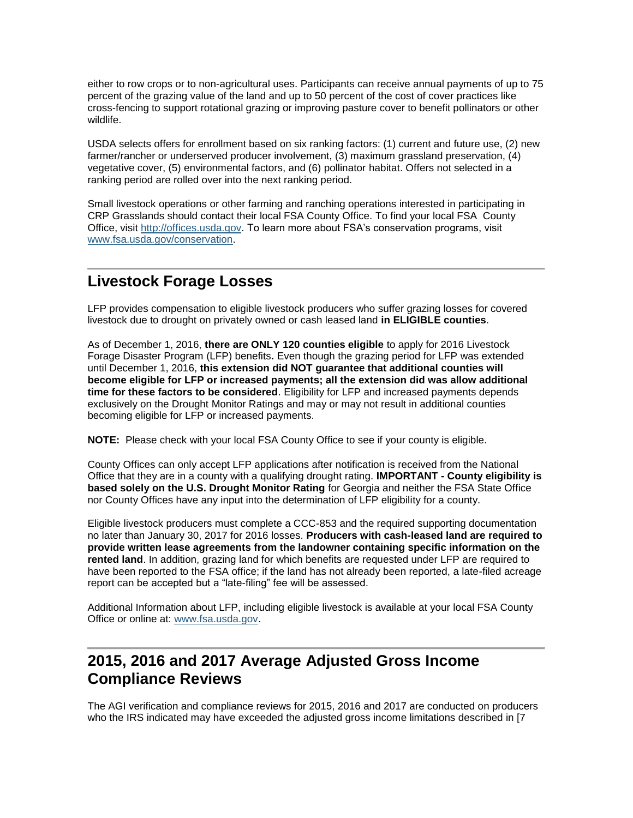either to row crops or to non-agricultural uses. Participants can receive annual payments of up to 75 percent of the grazing value of the land and up to 50 percent of the cost of cover practices like cross-fencing to support rotational grazing or improving pasture cover to benefit pollinators or other wildlife.

USDA selects offers for enrollment based on six ranking factors: (1) current and future use, (2) new farmer/rancher or underserved producer involvement, (3) maximum grassland preservation, (4) vegetative cover, (5) environmental factors, and (6) pollinator habitat. Offers not selected in a ranking period are rolled over into the next ranking period.

Small livestock operations or other farming and ranching operations interested in participating in CRP Grasslands should contact their local FSA County Office. To find your local FSA County Office, visit [http://offices.usda.gov.](http://offices.usda.gov/) To learn more about FSA's conservation programs, visit [www.fsa.usda.gov/conservation.](http://www.fsa.usda.gov/conservation)

### <span id="page-4-0"></span>**Livestock Forage Losses**

LFP provides compensation to eligible livestock producers who suffer grazing losses for covered livestock due to drought on privately owned or cash leased land **in ELIGIBLE counties**.

As of December 1, 2016, **there are ONLY 120 counties eligible** to apply for 2016 Livestock Forage Disaster Program (LFP) benefits**.** Even though the grazing period for LFP was extended until December 1, 2016, **this extension did NOT guarantee that additional counties will become eligible for LFP or increased payments; all the extension did was allow additional time for these factors to be considered**. Eligibility for LFP and increased payments depends exclusively on the Drought Monitor Ratings and may or may not result in additional counties becoming eligible for LFP or increased payments.

**NOTE:** Please check with your local FSA County Office to see if your county is eligible.

County Offices can only accept LFP applications after notification is received from the National Office that they are in a county with a qualifying drought rating. **IMPORTANT - County eligibility is based solely on the U.S. Drought Monitor Rating** for Georgia and neither the FSA State Office nor County Offices have any input into the determination of LFP eligibility for a county.

Eligible livestock producers must complete a CCC-853 and the required supporting documentation no later than January 30, 2017 for 2016 losses. **Producers with cash-leased land are required to provide written lease agreements from the landowner containing specific information on the rented land**. In addition, grazing land for which benefits are requested under LFP are required to have been reported to the FSA office; if the land has not already been reported, a late-filed acreage report can be accepted but a "late-filing" fee will be assessed.

Additional Information about LFP, including eligible livestock is available at your local FSA County Office or online at: [www.fsa.usda.gov.](http://www.fsa.usda.gov/)

# <span id="page-4-1"></span>**2015, 2016 and 2017 Average Adjusted Gross Income Compliance Reviews**

The AGI verification and compliance reviews for 2015, 2016 and 2017 are conducted on producers who the IRS indicated may have exceeded the adjusted gross income limitations described in [7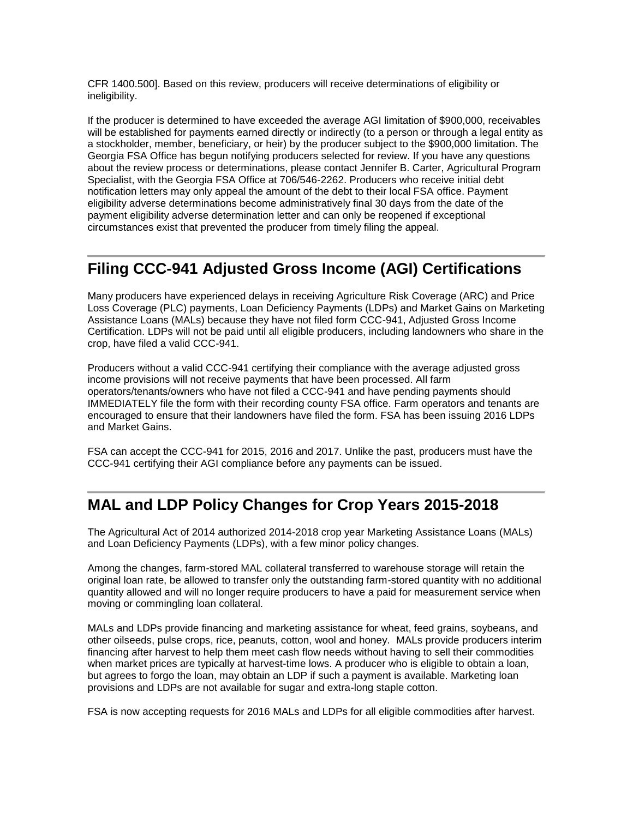CFR 1400.500]. Based on this review, producers will receive determinations of eligibility or ineligibility.

If the producer is determined to have exceeded the average AGI limitation of \$900,000, receivables will be established for payments earned directly or indirectly (to a person or through a legal entity as a stockholder, member, beneficiary, or heir) by the producer subject to the \$900,000 limitation. The Georgia FSA Office has begun notifying producers selected for review. If you have any questions about the review process or determinations, please contact Jennifer B. Carter, Agricultural Program Specialist, with the Georgia FSA Office at 706/546-2262. Producers who receive initial debt notification letters may only appeal the amount of the debt to their local FSA office. Payment eligibility adverse determinations become administratively final 30 days from the date of the payment eligibility adverse determination letter and can only be reopened if exceptional circumstances exist that prevented the producer from timely filing the appeal.

### <span id="page-5-0"></span>**Filing CCC-941 Adjusted Gross Income (AGI) Certifications**

Many producers have experienced delays in receiving Agriculture Risk Coverage (ARC) and Price Loss Coverage (PLC) payments, Loan Deficiency Payments (LDPs) and Market Gains on Marketing Assistance Loans (MALs) because they have not filed form CCC-941, Adjusted Gross Income Certification. LDPs will not be paid until all eligible producers, including landowners who share in the crop, have filed a valid CCC-941.

Producers without a valid CCC-941 certifying their compliance with the average adjusted gross income provisions will not receive payments that have been processed. All farm operators/tenants/owners who have not filed a CCC-941 and have pending payments should IMMEDIATELY file the form with their recording county FSA office. Farm operators and tenants are encouraged to ensure that their landowners have filed the form. FSA has been issuing 2016 LDPs and Market Gains.

FSA can accept the CCC-941 for 2015, 2016 and 2017. Unlike the past, producers must have the CCC-941 certifying their AGI compliance before any payments can be issued.

#### **MAL and LDP Policy Changes for Crop Years 2015-2018**

The Agricultural Act of 2014 authorized 2014-2018 crop year Marketing Assistance Loans (MALs) and Loan Deficiency Payments (LDPs), with a few minor policy changes.

Among the changes, farm-stored MAL collateral transferred to warehouse storage will retain the original loan rate, be allowed to transfer only the outstanding farm-stored quantity with no additional quantity allowed and will no longer require producers to have a paid for measurement service when moving or commingling loan collateral.

MALs and LDPs provide financing and marketing assistance for wheat, feed grains, soybeans, and other oilseeds, pulse crops, rice, peanuts, cotton, wool and honey. MALs provide producers interim financing after harvest to help them meet cash flow needs without having to sell their commodities when market prices are typically at harvest-time lows. A producer who is eligible to obtain a loan, but agrees to forgo the loan, may obtain an LDP if such a payment is available. Marketing loan provisions and LDPs are not available for sugar and extra-long staple cotton.

FSA is now accepting requests for 2016 MALs and LDPs for all eligible commodities after harvest.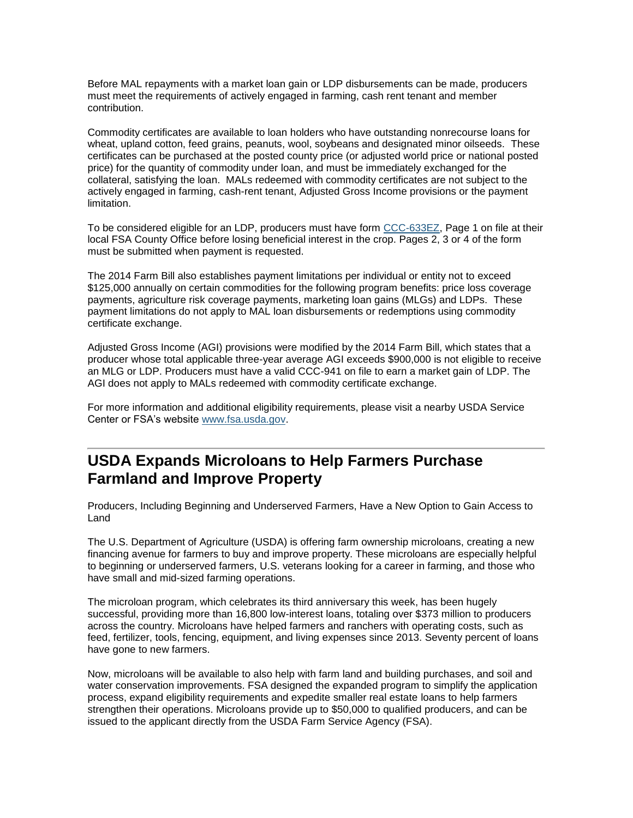Before MAL repayments with a market loan gain or LDP disbursements can be made, producers must meet the requirements of actively engaged in farming, cash rent tenant and member contribution.

Commodity certificates are available to loan holders who have outstanding nonrecourse loans for wheat, upland cotton, feed grains, peanuts, wool, soybeans and designated minor oilseeds. These certificates can be purchased at the posted county price (or adjusted world price or national posted price) for the quantity of commodity under loan, and must be immediately exchanged for the collateral, satisfying the loan. MALs redeemed with commodity certificates are not subject to the actively engaged in farming, cash-rent tenant, Adjusted Gross Income provisions or the payment limitation.

To be considered eligible for an LDP, producers must have form [CCC-633EZ,](http://forms.sc.egov.usda.gov/efcommon/eFileServices/eFormsAdmin/CCC0633EZ_140328V03.pdf) Page 1 on file at their local FSA County Office before losing beneficial interest in the crop. Pages 2, 3 or 4 of the form must be submitted when payment is requested.

The 2014 Farm Bill also establishes payment limitations per individual or entity not to exceed \$125,000 annually on certain commodities for the following program benefits: price loss coverage payments, agriculture risk coverage payments, marketing loan gains (MLGs) and LDPs. These payment limitations do not apply to MAL loan disbursements or redemptions using commodity certificate exchange.

Adjusted Gross Income (AGI) provisions were modified by the 2014 Farm Bill, which states that a producer whose total applicable three-year average AGI exceeds \$900,000 is not eligible to receive an MLG or LDP. Producers must have a valid CCC-941 on file to earn a market gain of LDP. The AGI does not apply to MALs redeemed with commodity certificate exchange.

For more information and additional eligibility requirements, please visit a nearby USDA Service Center or FSA's website [www.fsa.usda.gov.](http://www.fsa.usda.gov/)

# <span id="page-6-0"></span>**USDA Expands Microloans to Help Farmers Purchase Farmland and Improve Property**

Producers, Including Beginning and Underserved Farmers, Have a New Option to Gain Access to Land

The U.S. Department of Agriculture (USDA) is offering farm ownership microloans, creating a new financing avenue for farmers to buy and improve property. These microloans are especially helpful to beginning or underserved farmers, U.S. veterans looking for a career in farming, and those who have small and mid-sized farming operations.

The microloan program, which celebrates its third anniversary this week, has been hugely successful, providing more than 16,800 low-interest loans, totaling over \$373 million to producers across the country. Microloans have helped farmers and ranchers with operating costs, such as feed, fertilizer, tools, fencing, equipment, and living expenses since 2013. Seventy percent of loans have gone to new farmers.

Now, microloans will be available to also help with farm land and building purchases, and soil and water conservation improvements. FSA designed the expanded program to simplify the application process, expand eligibility requirements and expedite smaller real estate loans to help farmers strengthen their operations. Microloans provide up to \$50,000 to qualified producers, and can be issued to the applicant directly from the USDA Farm Service Agency (FSA).